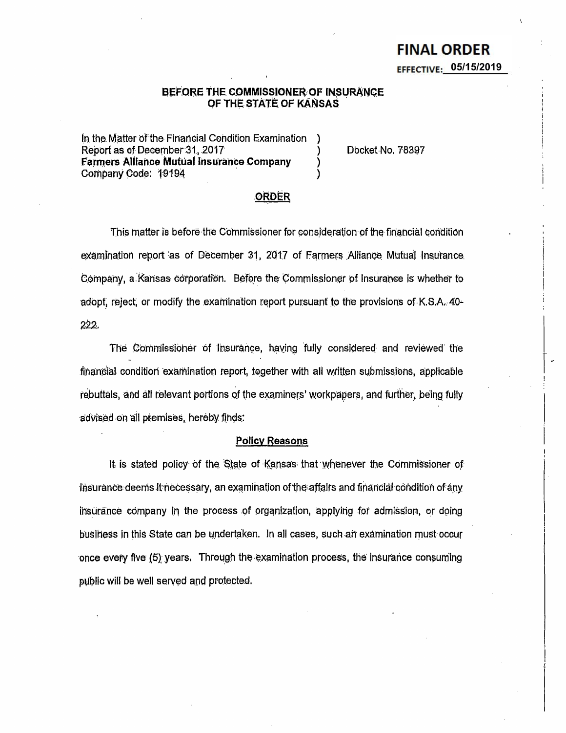### BEFORE THE COMMISSIONER OF INSURANCE OF THE STATE OF KANSAS

In the Matter of the Financial Condition Examination Report as of December 31, 2017 **Farmers Alliance Mutual Insurance Company** Company Code: 19194

Docket No. 78397

### **ORDER**

This matter is before the Commissioner for consideration of the financial condition examination report as of December 31, 2017 of Farmers Alliance Mutual Insurance Company, a Kansas corporation. Before the Commissioner of Insurance is whether to adopt, reject, or modify the examination report pursuant to the provisions of K.S.A. 40-222.

The Commissioner of Insurance, having fully considered and reviewed the financial condition examination report, together with all written submissions, applicable rebuttals, and all relevant portions of the examiners' workpapers, and further, being fully advised on all premises, hereby finds:

#### **Policy Reasons**

It is stated policy of the State of Kansas that whenever the Commissioner of lisurance deems it necessary, an examination of the affairs and financial condition of any insurance company in the process of organization, applying for admission, or doing business in this State can be undertaken. In all cases, such an examination must occur once every five (5) years. Through the examination process, the insurance consuming public will be well served and protected.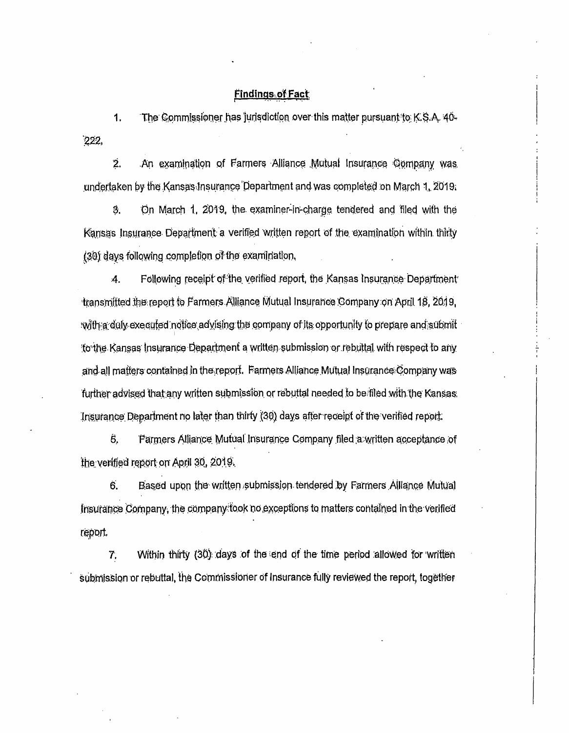# **Findings of Fact**

The Commissioner has jurisdiction over this matter pursuant to K.S.A. 40-1.  $222$ 

2. An examination of Farmers Alliance Mutual Insurance Company was undertaken by the Kansas Insurance Department and was completed on March 1, 2019.

3. On March 1, 2019, the examiner-in-charge tendered and filed with the Kansas Insurance Department a verified written report of the examination within thirty (30) days following completion of the examination.

Following receipt of the verified report, the Kansas Insurance Department 4. transmitted the report to Farmers Alliance Mutual Insurance Company on April 18, 2019, with a duly executed notice advising the company of its opportunity to prepare and submit fo the Kansas Insurance Department a written submission or rebuital with respect to any and all matters contained in the report. Farmers Alliance Mutual Insurance Company was further advised that any written submission or rebuttal needed to be filed with the Kansas. Insurance Department no later than thirty (30) days after receipt of the verified report.

Ŝ. Parmers Alliance Mutual Insurance Company filed a written acceptance of the verified report on April 30, 2019.

6. Based upon the written submission tendered by Farmers Alliance Mutual Insurance Company, the company fook no exceptions to matters contained in the verified report.

7. Within thirty (30) days of the end of the time period allowed for written submission or rebuttal, the Commissioner of Insurance fully reviewed the report, together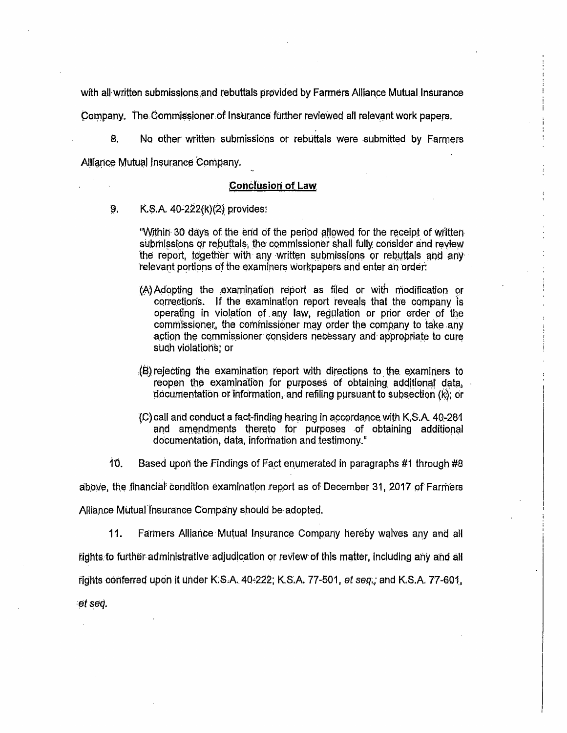with all written submissions and rebuttals provided by Farmers Alliance Mutual Insurance

Company. The Commissioner of Insurance further reviewed all relevant work papers.

No other written submissions or rebuttals were submitted by Farmers 8. Alliance Mutual Insurance Company.

#### **Conclusion of Law**

9. K.S.A. 40-222(k)(2) provides:

> "Within 30 days of the end of the period allowed for the receipt of written submissions or rebuttals, the commissioner shall fully consider and review the report, together with any written submissions or rebuttals and any relevant portions of the examiners workpapers and enter an order:

- (A) Adopting the examination report as filed or with modification or corrections. If the examination report reveals that the company is operating in violation of any law, regulation or prior order of the commissioner, the commissioner may order the company to take any action the commissioner considers necessary and appropriate to cure such violations; or
- (B) rejecting the examination report with directions to the examiners to reopen the examination for purposes of obtaining additional data. documentation or information, and refiling pursuant to subsection (k); or
- (C) call and conduct a fact-finding hearing in accordance with K.S.A. 40-281 and amendments thereto for purposes of obtaining additional documentation, data, information and testimony."
- $10<sub>1</sub>$ Based upon the Findings of Fact enumerated in paragraphs #1 through #8

above, the financial condition examination report as of December 31, 2017 of Farmers

Alliance Mutual Insurance Company should be adopted.

 $11.$ Farmers Alliance Mutual Insurance Company hereby waives any and all

rights to further administrative adjudication or review of this matter, including any and all

rights conferred upon it under K.S.A. 40-222; K.S.A. 77-501, et seq.; and K.S.A. 77-601,

et seq.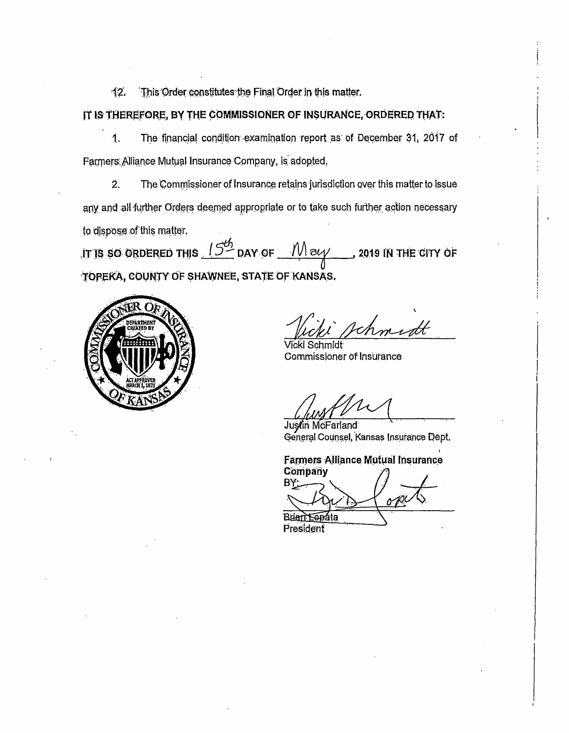$12.$ This Order constitutes the Final Order in this matter.

IT IS THEREFORE, BY THE COMMISSIONER OF INSURANCE, ORDERED THAT:

 $\mathbf{1}$ . The financial condition examination report as of December 31, 2017 of Farmers Alliance Mutual Insurance Company, is adopted.

2. The Commissioner of Insurance retains jurisdiction over this matter to issue any and all further Orders deemed appropriate or to take such further action necessary to dispose of this matter.

IT IS SO ORDERED THIS  $15<sup>6</sup>$  DAY OF  $\frac{1}{100}$   $\frac{1}{100}$ , 2019 IN THE CITY OF TOPEKA, COUNTY OF SHAWNEE, STATE OF KANSAS.



chmidt

/icki Schmidt Commissioner of Insurance

Justin McFarland General Counsel, Kansas Insurance Dept,

**Farmers Alliance Mutual Insurance** 

Company

Brian Leadta President